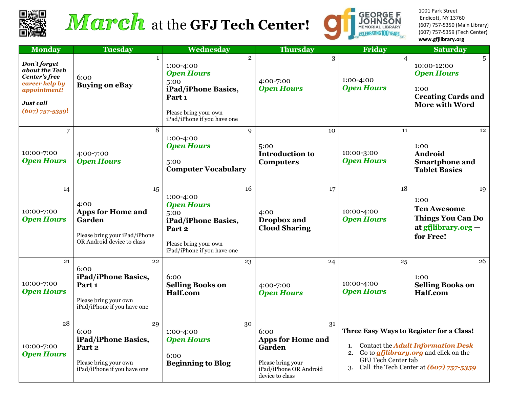

# March at the GFJ Tech Center!



1001 Park Street Endicott, NY 13760 (607) 757-5350 (Main Library) (607) 757-5359 (Tech Center) **www.gfjlibrary.org**

| <b>Monday</b>                                                                                                       | <b>Tuesday</b>                                                                                                  | Wednesday                                                                                                                                         | <b>Thursday</b>                                                                                                    | Friday                                                                                                                                                                                                              | <b>Saturday</b>                                                                                     |
|---------------------------------------------------------------------------------------------------------------------|-----------------------------------------------------------------------------------------------------------------|---------------------------------------------------------------------------------------------------------------------------------------------------|--------------------------------------------------------------------------------------------------------------------|---------------------------------------------------------------------------------------------------------------------------------------------------------------------------------------------------------------------|-----------------------------------------------------------------------------------------------------|
| Don't forget<br>about the Tech<br>Center's free<br>career help by<br>appointment!<br>Just call<br>$(607)$ 757-5359! | $\mathbf{1}$<br>6:00<br><b>Buying on eBay</b>                                                                   | $\overline{2}$<br>1:00-4:00<br><b>Open Hours</b><br>5:00<br>iPad/iPhone Basics,<br>Part 1<br>Please bring your own<br>iPad/iPhone if you have one | 3<br>4:00-7:00<br><b>Open Hours</b>                                                                                | $\overline{4}$<br>1:00-4:00<br><b>Open Hours</b>                                                                                                                                                                    | 5<br>10:00-12:00<br><b>Open Hours</b><br>1:00<br><b>Creating Cards and</b><br><b>More with Word</b> |
| $\overline{7}$<br>10:00-7:00<br><b>Open Hours</b>                                                                   | 8<br>4:00-7:00<br><b>Open Hours</b>                                                                             | 9<br>1:00-4:00<br><b>Open Hours</b><br>5:00<br><b>Computer Vocabulary</b>                                                                         | 10<br>5:00<br><b>Introduction to</b><br><b>Computers</b>                                                           | 11<br>10:00-3:00<br><b>Open Hours</b>                                                                                                                                                                               | 12<br>1:00<br>Android<br><b>Smartphone and</b><br><b>Tablet Basics</b>                              |
| 14<br>10:00-7:00<br><b>Open Hours</b>                                                                               | 15<br>4:00<br><b>Apps for Home and</b><br>Garden<br>Please bring your iPad/iPhone<br>OR Android device to class | 16<br>1:00-4:00<br><b>Open Hours</b><br>5:00<br>iPad/iPhone Basics,<br>Part 2<br>Please bring your own<br>iPad/iPhone if you have one             | 17<br>4:00<br>Dropbox and<br><b>Cloud Sharing</b>                                                                  | 18<br>10:00-4:00<br><b>Open Hours</b>                                                                                                                                                                               | 19<br>1:00<br><b>Ten Awesome</b><br><b>Things You Can Do</b><br>at $gfjlibrary.org -$<br>for Free!  |
| 21<br>10:00-7:00<br><b>Open Hours</b>                                                                               | 22<br>6:00<br>iPad/iPhone Basics,<br>Part 1<br>Please bring your own<br>iPad/iPhone if you have one             | 23<br>6:00<br><b>Selling Books on</b><br>Half.com                                                                                                 | 24<br>4:00-7:00<br><b>Open Hours</b>                                                                               | 25<br>10:00-4:00<br><b>Open Hours</b>                                                                                                                                                                               | 26<br>1:00<br><b>Selling Books on</b><br>Half.com                                                   |
| 28<br>10:00-7:00<br><b>Open Hours</b>                                                                               | 29<br>6:00<br>iPad/iPhone Basics,<br>Part 2<br>Please bring your own<br>iPad/iPhone if you have one             | 30<br>1:00-4:00<br><b>Open Hours</b><br>6:00<br><b>Beginning to Blog</b>                                                                          | 31<br>6:00<br><b>Apps for Home and</b><br>Garden<br>Please bring your<br>iPad/iPhone OR Android<br>device to class | Three Easy Ways to Register for a Class!<br>Contact the Adult Information Desk<br>1.<br>Go to <i>gfjlibrary.org</i> and click on the<br>2.<br>GFJ Tech Center tab<br>Call the Tech Center at $(607)$ 757-5359<br>3. |                                                                                                     |